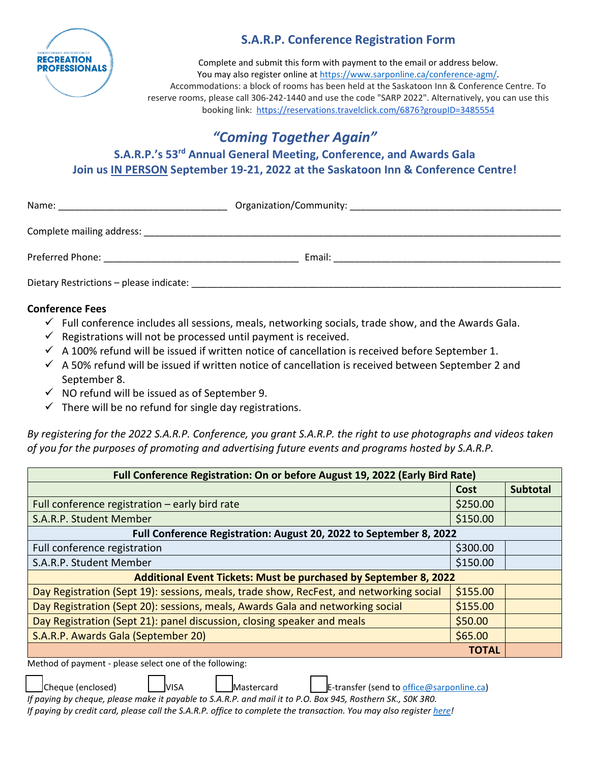

## **S.A.R.P. Conference Registration Form**

Complete and submit this form with payment to the email or address below. You may also register online at [https://www.sarponline.ca/conference-agm/.](https://www.sarponline.ca/conference-agm/) Accommodations: a block of rooms has been held at the Saskatoon Inn & Conference Centre. To reserve rooms, please call 306-242-1440 and use the code "SARP 2022". Alternatively, you can use this booking link: <https://reservations.travelclick.com/6876?groupID=3485554>

# *"Coming Together Again"*

**S.A.R.P.'s 53rd Annual General Meeting, Conference, and Awards Gala Join us IN PERSON September 19-21, 2022 at the Saskatoon Inn & Conference Centre!** 

| Name:                                   |        |  |
|-----------------------------------------|--------|--|
|                                         |        |  |
|                                         | Email: |  |
| Dietary Restrictions - please indicate: |        |  |

## **Conference Fees**

- $\checkmark$  Full conference includes all sessions, meals, networking socials, trade show, and the Awards Gala.
- $\checkmark$  Registrations will not be processed until payment is received.
- $\checkmark$  A 100% refund will be issued if written notice of cancellation is received before September 1.
- $\checkmark$  A 50% refund will be issued if written notice of cancellation is received between September 2 and September 8.
- $\checkmark$  NO refund will be issued as of September 9.
- $\checkmark$  There will be no refund for single day registrations.

*By registering for the 2022 S.A.R.P. Conference, you grant S.A.R.P. the right to use photographs and videos taken of you for the purposes of promoting and advertising future events and programs hosted by S.A.R.P.* 

| Full Conference Registration: On or before August 19, 2022 (Early Bird Rate)            |              |                 |  |
|-----------------------------------------------------------------------------------------|--------------|-----------------|--|
|                                                                                         | Cost         | <b>Subtotal</b> |  |
| Full conference registration $-$ early bird rate                                        |              |                 |  |
| S.A.R.P. Student Member                                                                 |              |                 |  |
| Full Conference Registration: August 20, 2022 to September 8, 2022                      |              |                 |  |
| Full conference registration                                                            | \$300.00     |                 |  |
| S.A.R.P. Student Member                                                                 |              |                 |  |
| Additional Event Tickets: Must be purchased by September 8, 2022                        |              |                 |  |
| Day Registration (Sept 19): sessions, meals, trade show, RecFest, and networking social | \$155.00     |                 |  |
| Day Registration (Sept 20): sessions, meals, Awards Gala and networking social          |              |                 |  |
| Day Registration (Sept 21): panel discussion, closing speaker and meals                 |              |                 |  |
| S.A.R.P. Awards Gala (September 20)                                                     |              |                 |  |
|                                                                                         | <b>TOTAL</b> |                 |  |

Method of payment - please select one of the following:



 $\Box$ Cheque (enclosed)  $\Box$  VISA  $\Box$  Mastercard  $\Box$  E-transfer (send to [office@sarponline.ca\)](mailto:office@sarponline.ca)

*If paying by cheque, please make it payable to S.A.R.P. and mail it to P.O. Box 945, Rosthern SK., S0K 3R0. If paying by credit card, please call the S.A.R.P. office to complete the transaction. You may also register [here!](https://www.sarponline.ca/conference-agm/)*